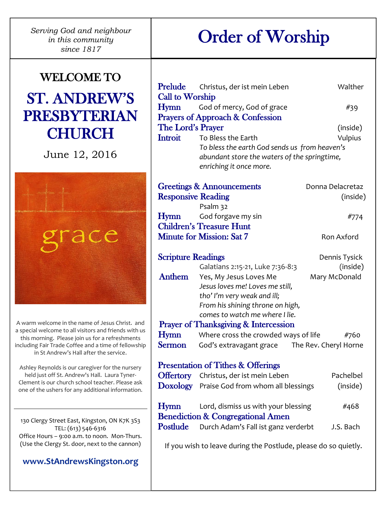*Serving God and neighbour in this community since 1817*

## Order of Worship

# WELCOME TO ST. ANDREW'S PRESBYTERIAN **CHURCH** June 12, 2016

A warm welcome in the name of Jesus Christ. and a special welcome to all visitors and friends with us this morning. Please join us for a refreshments including Fair Trade Coffee and a time of fellowship in St Andrew's Hall after the service.

Ashley Reynolds is our caregiver for the nursery held just off St. Andrew's Hall. Laura Tyner-Clement is our church school teacher. Please ask one of the ushers for any additional information.

130 Clergy Street East, Kingston, ON K7K 3S3 TEL: (613) 546-6316 Office Hours – 9:00 a.m. to noon. Mon-Thurs. (Use the Clergy St. door, next to the cannon)

**[www.StAndrewsKingston.org](http://www.standrewskingston.org/)**

| Prelude                                                  | Christus, der ist mein Leben                                                                  | Walther               |  |  |
|----------------------------------------------------------|-----------------------------------------------------------------------------------------------|-----------------------|--|--|
| <b>Call to Worship</b>                                   |                                                                                               |                       |  |  |
| Hymn                                                     | God of mercy, God of grace                                                                    | #39                   |  |  |
| <b>Prayers of Approach &amp; Confession</b>              |                                                                                               |                       |  |  |
| The Lord's Prayer                                        |                                                                                               | (inside)              |  |  |
| Introit                                                  | To Bless the Earth                                                                            | Vulpius               |  |  |
|                                                          | To bless the earth God sends us from heaven's<br>abundant store the waters of the springtime, |                       |  |  |
|                                                          | enriching it once more.                                                                       |                       |  |  |
|                                                          |                                                                                               |                       |  |  |
| <b>Greetings &amp; Announcements</b><br>Donna Delacretaz |                                                                                               |                       |  |  |
| <b>Responsive Reading</b>                                |                                                                                               | (inside)              |  |  |
|                                                          | Psalm 32                                                                                      |                       |  |  |
| Hymn                                                     | God forgave my sin                                                                            | #774                  |  |  |
| <b>Children's Treasure Hunt</b>                          |                                                                                               |                       |  |  |
|                                                          | <b>Minute for Mission: Sat 7</b>                                                              | Ron Axford            |  |  |
|                                                          |                                                                                               |                       |  |  |
| <b>Scripture Readings</b>                                |                                                                                               | Dennis Tysick         |  |  |
|                                                          | Galatians 2:15-21, Luke 7:36-8:3                                                              | (inside)              |  |  |
| <b>Anthem</b>                                            | Yes, My Jesus Loves Me<br>Mary McDonald                                                       |                       |  |  |
|                                                          | Jesus loves me! Loves me still,                                                               |                       |  |  |
|                                                          | tho' I'm very weak and ill;                                                                   |                       |  |  |
|                                                          | From his shining throne on high,                                                              |                       |  |  |
|                                                          | comes to watch me where I lie.                                                                |                       |  |  |
|                                                          | <b>Prayer of Thanksgiving &amp; Intercession</b>                                              |                       |  |  |
| Hymn                                                     | Where cross the crowded ways of life                                                          | #760                  |  |  |
| <b>Sermon</b>                                            | God's extravagant grace                                                                       | The Rev. Cheryl Horne |  |  |
|                                                          | <b>Presentation of Tithes &amp; Offerings</b>                                                 |                       |  |  |
|                                                          | <b>Offertory</b> Christus, der ist mein Leben                                                 | Pachelbel             |  |  |
|                                                          | Doxology Praise God from whom all blessings                                                   | (inside)              |  |  |
|                                                          |                                                                                               |                       |  |  |
| Hymn                                                     | Lord, dismiss us with your blessing                                                           | #468                  |  |  |
| <b>Benediction &amp; Congregational Amen</b>             |                                                                                               |                       |  |  |
| Postlude                                                 | Durch Adam's Fall ist ganz verderbt                                                           | J.S. Bach             |  |  |
|                                                          | If you wish to leave during the Postlude, please do so quietly.                               |                       |  |  |
|                                                          |                                                                                               |                       |  |  |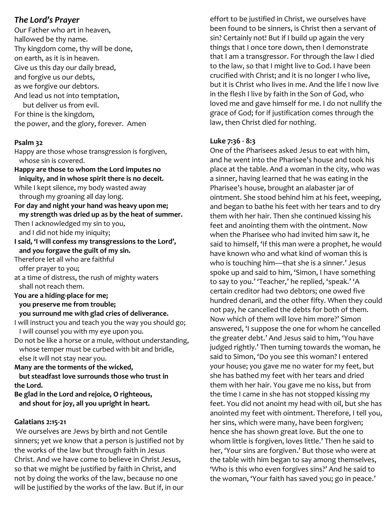## *The Lord's Prayer*

Our Father who art in heaven, hallowed be thy name. Thy kingdom come, thy will be done, on earth, as it is in heaven. Give us this day our daily bread, and forgive us our debts, as we forgive our debtors. And lead us not into temptation, but deliver us from evil. For thine is the kingdom, the power, and the glory, forever. Amen

## **Psalm 32**

Happy are those whose transgression is forgiven, whose sin is covered.

**Happy are those to whom the Lord imputes no iniquity, and in whose spirit there is no deceit.**

While I kept silence, my body wasted away through my groaning all day long.

**For day and night your hand was heavy upon me; my strength was dried up as by the heat of summer.**

Then I acknowledged my sin to you, and I did not hide my iniquity;

**I said, 'I will confess my transgressions to the Lord', and you forgave the guilt of my sin.**

Therefore let all who are faithful offer prayer to you;

at a time of distress, the rush of mighty waters shall not reach them.

**You are a hiding-place for me; you preserve me from trouble; you surround me with glad cries of deliverance.**

- I will instruct you and teach you the way you should go; I will counsel you with my eye upon you.
- Do not be like a horse or a mule, without understanding, whose temper must be curbed with bit and bridle, else it will not stay near you.

**Many are the torments of the wicked, but steadfast love surrounds those who trust in the Lord.**

**Be glad in the Lord and rejoice, O righteous, and shout for joy, all you upright in heart.**

#### **Galatians 2:15-21**

We ourselves are Jews by birth and not Gentile sinners; yet we know that a person is justified not by the works of the law but through faith in Jesus Christ. And we have come to believe in Christ Jesus, so that we might be justified by faith in Christ, and not by doing the works of the law, because no one will be justified by the works of the law. But if, in our

effort to be justified in Christ, we ourselves have been found to be sinners, is Christ then a servant of sin? Certainly not! But if I build up again the very things that I once tore down, then I demonstrate that I am a transgressor. For through the law I died to the law, so that I might live to God. I have been crucified with Christ; and it is no longer I who live, but it is Christ who lives in me. And the life I now live in the flesh I live by faith in the Son of God, who loved me and gave himself for me. I do not nullify the grace of God; for if justification comes through the law, then Christ died for nothing.

#### **Luke 7:36 - 8:3**

One of the Pharisees asked Jesus to eat with him, and he went into the Pharisee's house and took his place at the table. And a woman in the city, who was a sinner, having learned that he was eating in the Pharisee's house, brought an alabaster jar of ointment. She stood behind him at his feet, weeping, and began to bathe his feet with her tears and to dry them with her hair. Then she continued kissing his feet and anointing them with the ointment. Now when the Pharisee who had invited him saw it, he said to himself, 'If this man were a prophet, he would have known who and what kind of woman this is who is touching him—that she is a sinner.' Jesus spoke up and said to him, 'Simon, I have something to say to you.' 'Teacher,' he replied, 'speak.' 'A certain creditor had two debtors; one owed five hundred denarii, and the other fifty. When they could not pay, he cancelled the debts for both of them. Now which of them will love him more?' Simon answered, 'I suppose the one for whom he cancelled the greater debt.' And Jesus said to him, 'You have judged rightly.' Then turning towards the woman, he said to Simon, 'Do you see this woman? I entered your house; you gave me no water for my feet, but she has bathed my feet with her tears and dried them with her hair. You gave me no kiss, but from the time I came in she has not stopped kissing my feet. You did not anoint my head with oil, but she has anointed my feet with ointment. Therefore, I tell you, her sins, which were many, have been forgiven; hence she has shown great love. But the one to whom little is forgiven, loves little.' Then he said to her, 'Your sins are forgiven.' But those who were at the table with him began to say among themselves, 'Who is this who even forgives sins?' And he said to the woman, 'Your faith has saved you; go in peace.'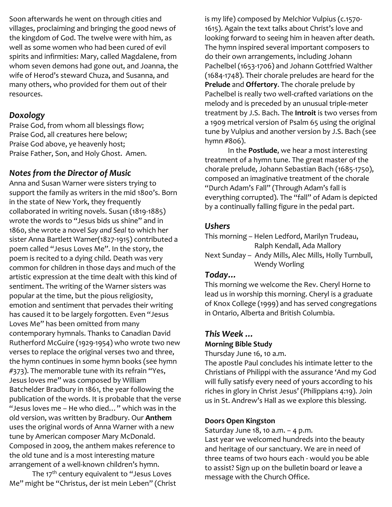Soon afterwards he went on through cities and villages, proclaiming and bringing the good news of the kingdom of God. The twelve were with him, as well as some women who had been cured of evil spirits and infirmities: Mary, called Magdalene, from whom seven demons had gone out, and Joanna, the wife of Herod's steward Chuza, and Susanna, and many others, who provided for them out of their resources.

## *Doxology*

Praise God, from whom all blessings flow; Praise God, all creatures here below; Praise God above, ye heavenly host; Praise Father, Son, and Holy Ghost. Amen.

## *Notes from the Director of Music*

Anna and Susan Warner were sisters trying to support the family as writers in the mid 1800's. Born in the state of New York, they frequently collaborated in writing novels. Susan (1819-1885) wrote the words to "Jesus bids us shine" and in 1860, she wrote a novel *Say and Seal* to which her sister Anna Bartlett Warner(1827-1915) contributed a poem called "Jesus Loves Me". In the story, the poem is recited to a dying child. Death was very common for children in those days and much of the artistic expression at the time dealt with this kind of sentiment. The writing of the Warner sisters was popular at the time, but the pious religiosity, emotion and sentiment that pervades their writing has caused it to be largely forgotten. Even "Jesus Loves Me" has been omitted from many contemporary hymnals. Thanks to Canadian David Rutherford McGuire (1929-1954) who wrote two new verses to replace the original verses two and three, the hymn continues in some hymn books (see hymn #373). The memorable tune with its refrain "Yes, Jesus loves me" was composed by William Batchelder Bradbury in 1861, the year following the publication of the words. It is probable that the verse "Jesus loves me – He who died…" which was in the old version, was written by Bradbury. Our **Anthem** uses the original words of Anna Warner with a new tune by American composer Mary McDonald. Composed in 2009, the anthem makes reference to the old tune and is a most interesting mature arrangement of a well-known children's hymn.

The 17<sup>th</sup> century equivalent to "Jesus Loves Me" might be "Christus, der ist mein Leben" (Christ is my life) composed by Melchior Vulpius (c.1570- 1615). Again the text talks about Christ's love and looking forward to seeing him in heaven after death. The hymn inspired several important composers to do their own arrangements, including Johann Pachelbel (1653-1706) and Johann Gottfried Walther (1684-1748). Their chorale preludes are heard for the **Prelude** and **Offertory**. The chorale prelude by Pachelbel is really two well-crafted variations on the melody and is preceded by an unusual triple-meter treatment by J.S. Bach. The **Introit** is two verses from a 1909 metrical version of Psalm 65 using the original tune by Vulpius and another version by J.S. Bach (see hymn #806).

In the **Postlude**, we hear a most interesting treatment of a hymn tune. The great master of the chorale prelude, Johann Sebastian Bach (1685-1750), composed an imaginative treatment of the chorale "Durch Adam's Fall" (Through Adam's fall is everything corrupted). The "fall" of Adam is depicted by a continually falling figure in the pedal part.

## *Ushers*

| This morning – Helen Ledford, Marilyn Trudeau,        |
|-------------------------------------------------------|
| Ralph Kendall, Ada Mallory                            |
| Next Sunday - Andy Mills, Alec Mills, Holly Turnbull, |
| Wendy Worling                                         |

## *Today…*

This morning we welcome the Rev. Cheryl Horne to lead us in worship this morning. Cheryl is a graduate of Knox College (1999) and has served congregations in Ontario, Alberta and British Columbia.

## *This Week …*

#### **Morning Bible Study**

Thursday June 16, 10 a.m.

The apostle Paul concludes his intimate letter to the Christians of Philippi with the assurance 'And my God will fully satisfy every need of yours according to his riches in glory in Christ Jesus' (Philippians 4:19). Join us in St. Andrew's Hall as we explore this blessing.

## **Doors Open Kingston**

Saturday June  $18$ , 10 a.m.  $-4$  p.m.

Last year we welcomed hundreds into the beauty and heritage of our sanctuary. We are in need of three teams of two hours each - would you be able to assist? Sign up on the bulletin board or leave a message with the Church Office.